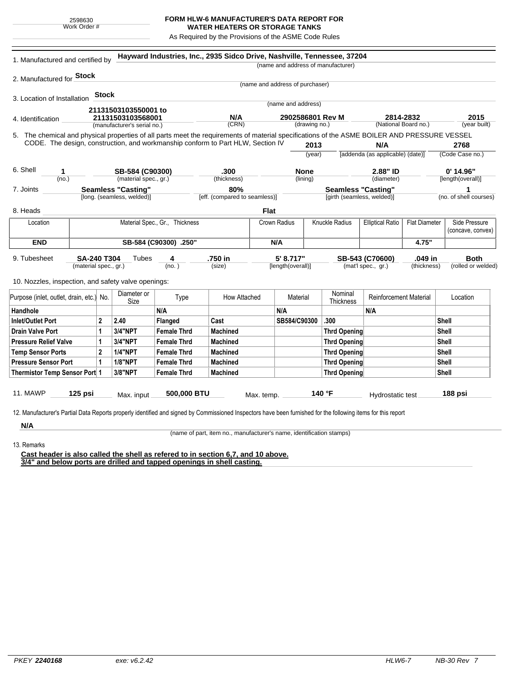## **FORM HLW-6 MANUFACTURER'S DATA REPORT FOR WATER HEATERS OR STORAGE TANKS**

As Required by the Provisions of the ASME Code Rules

| 2. Manufactured for <b>Stock</b><br><b>Stock</b><br>3. Location of Installation<br>4. Identification<br>5. The chemical and physical properties of all parts meet the requirements of material specifications of the ASME BOILER AND PRESSURE VESSEL<br>CODE. The design, construction, and workmanship conform to Part HLW, Section IV<br>6. Shell<br>1<br>(no.)<br>7. Joints<br>8. Heads | 21131503103550001 to<br>21131503103568001<br>(manufacturer's serial no.)<br>SB-584 (C90300)<br>(material spec., gr.)<br><b>Seamless "Casting"</b><br>[long. (seamless, welded)] |                           | N/A<br>(CRN)<br>.300<br>(thickness)<br>80% |             | (name and address of purchaser)<br>(name and address)<br>2902586801 Rev M | (drawing no.)<br>2013<br>(year) | (name and address of manufacturer) | N/A<br>[addenda (as applicable) (date)]<br>2.88" ID | 2814-2832<br>(National Board no.) | 2015<br>(year built)<br>2768<br>(Code Case no.)<br>$0'$ 14.96" |
|--------------------------------------------------------------------------------------------------------------------------------------------------------------------------------------------------------------------------------------------------------------------------------------------------------------------------------------------------------------------------------------------|---------------------------------------------------------------------------------------------------------------------------------------------------------------------------------|---------------------------|--------------------------------------------|-------------|---------------------------------------------------------------------------|---------------------------------|------------------------------------|-----------------------------------------------------|-----------------------------------|----------------------------------------------------------------|
|                                                                                                                                                                                                                                                                                                                                                                                            |                                                                                                                                                                                 |                           |                                            |             |                                                                           |                                 |                                    |                                                     |                                   |                                                                |
|                                                                                                                                                                                                                                                                                                                                                                                            |                                                                                                                                                                                 |                           |                                            |             |                                                                           |                                 |                                    |                                                     |                                   |                                                                |
|                                                                                                                                                                                                                                                                                                                                                                                            |                                                                                                                                                                                 |                           |                                            |             |                                                                           |                                 |                                    |                                                     |                                   |                                                                |
|                                                                                                                                                                                                                                                                                                                                                                                            |                                                                                                                                                                                 |                           |                                            |             |                                                                           |                                 |                                    |                                                     |                                   |                                                                |
|                                                                                                                                                                                                                                                                                                                                                                                            |                                                                                                                                                                                 |                           |                                            |             |                                                                           |                                 |                                    |                                                     |                                   |                                                                |
|                                                                                                                                                                                                                                                                                                                                                                                            |                                                                                                                                                                                 |                           |                                            |             |                                                                           |                                 |                                    |                                                     |                                   |                                                                |
|                                                                                                                                                                                                                                                                                                                                                                                            |                                                                                                                                                                                 |                           |                                            |             |                                                                           |                                 |                                    |                                                     |                                   |                                                                |
|                                                                                                                                                                                                                                                                                                                                                                                            |                                                                                                                                                                                 |                           |                                            |             |                                                                           |                                 |                                    |                                                     |                                   |                                                                |
|                                                                                                                                                                                                                                                                                                                                                                                            |                                                                                                                                                                                 |                           |                                            |             |                                                                           |                                 |                                    |                                                     |                                   |                                                                |
|                                                                                                                                                                                                                                                                                                                                                                                            |                                                                                                                                                                                 |                           |                                            |             |                                                                           |                                 |                                    |                                                     |                                   |                                                                |
|                                                                                                                                                                                                                                                                                                                                                                                            |                                                                                                                                                                                 |                           |                                            |             | <b>None</b><br>(lining)                                                   |                                 |                                    | (diameter)                                          |                                   | [length(overall)]                                              |
|                                                                                                                                                                                                                                                                                                                                                                                            |                                                                                                                                                                                 |                           |                                            |             |                                                                           |                                 |                                    | <b>Seamless "Casting"</b>                           |                                   | 1                                                              |
|                                                                                                                                                                                                                                                                                                                                                                                            |                                                                                                                                                                                 |                           | [eff. (compared to seamless)]              |             |                                                                           |                                 | [girth (seamless, welded)]         |                                                     |                                   | (no. of shell courses)                                         |
|                                                                                                                                                                                                                                                                                                                                                                                            |                                                                                                                                                                                 |                           |                                            | <b>Flat</b> |                                                                           |                                 |                                    |                                                     |                                   |                                                                |
| Location                                                                                                                                                                                                                                                                                                                                                                                   | Material Spec., Gr., Thickness                                                                                                                                                  |                           |                                            |             | Crown Radius                                                              |                                 | Knuckle Radius                     | <b>Elliptical Ratio</b>                             | <b>Flat Diameter</b>              | Side Pressure                                                  |
|                                                                                                                                                                                                                                                                                                                                                                                            |                                                                                                                                                                                 |                           |                                            |             |                                                                           |                                 |                                    |                                                     |                                   | (concave, convex)                                              |
| <b>END</b>                                                                                                                                                                                                                                                                                                                                                                                 | SB-584 (C90300) .250"                                                                                                                                                           |                           |                                            |             | N/A                                                                       |                                 |                                    |                                                     | 4.75"                             |                                                                |
| SA-240 T304<br>9. Tubesheet                                                                                                                                                                                                                                                                                                                                                                | Tubes                                                                                                                                                                           | 4                         | .750 in                                    |             | 5' 8.717"                                                                 |                                 |                                    | SB-543 (C70600)                                     | .049 in                           | <b>Both</b>                                                    |
| (material spec., gr.)                                                                                                                                                                                                                                                                                                                                                                      |                                                                                                                                                                                 | (no.)                     | (size)                                     |             | [length(overall)]                                                         |                                 |                                    | (mat'l spec., gr.)                                  | (thickness)                       | (rolled or welded)                                             |
|                                                                                                                                                                                                                                                                                                                                                                                            |                                                                                                                                                                                 |                           |                                            |             |                                                                           |                                 |                                    |                                                     |                                   |                                                                |
| 10. Nozzles, inspection, and safety valve openings:                                                                                                                                                                                                                                                                                                                                        |                                                                                                                                                                                 |                           |                                            |             |                                                                           |                                 |                                    |                                                     |                                   |                                                                |
| Purpose (inlet, outlet, drain, etc.) No.                                                                                                                                                                                                                                                                                                                                                   | Diameter or<br>Size                                                                                                                                                             | Type                      | How Attached                               | Material    |                                                                           | Nominal<br>Thickness            |                                    | <b>Reinforcement Material</b>                       |                                   | Location                                                       |
| Handhole                                                                                                                                                                                                                                                                                                                                                                                   | N/A                                                                                                                                                                             |                           |                                            |             | N/A                                                                       |                                 |                                    | N/A                                                 |                                   |                                                                |
| $\mathbf{2}$<br>Inlet/Outlet Port                                                                                                                                                                                                                                                                                                                                                          | 2.40                                                                                                                                                                            | Flanged                   | Cast                                       |             | SB584/C90300                                                              |                                 | .300                               |                                                     |                                   | Shell                                                          |
| <b>Drain Valve Port</b><br>$\mathbf 1$                                                                                                                                                                                                                                                                                                                                                     | 3/4"NPT                                                                                                                                                                         | <b>Female Thrd</b>        | Machined                                   |             |                                                                           |                                 | <b>Thrd Opening</b>                |                                                     |                                   | Shell                                                          |
| $\mathbf{1}$<br><b>Pressure Relief Valve</b>                                                                                                                                                                                                                                                                                                                                               | 3/4"NPT                                                                                                                                                                         | <b>Female Thrd</b>        | <b>Machined</b>                            |             |                                                                           |                                 | <b>Thrd Opening</b>                |                                                     |                                   | Shell                                                          |
| $\mathbf{2}$<br><b>Temp Sensor Ports</b>                                                                                                                                                                                                                                                                                                                                                   | <b>1/4"NPT</b>                                                                                                                                                                  | <b>Female Thrd</b>        | Machined                                   |             |                                                                           |                                 | <b>Thrd Opening</b>                |                                                     |                                   | Shell                                                          |
| <b>Pressure Sensor Port</b><br>1                                                                                                                                                                                                                                                                                                                                                           | <b>1/8"NPT</b>                                                                                                                                                                  | <b>Female Thrd</b>        | <b>Machined</b>                            |             |                                                                           |                                 | <b>Thrd Opening</b>                |                                                     |                                   | Shell                                                          |
| Thermistor Temp Sensor Port 1                                                                                                                                                                                                                                                                                                                                                              | 3/8"NPT                                                                                                                                                                         | <b>Female Thrd</b>        | <b>Machined</b>                            |             |                                                                           |                                 | <b>Thrd Opening</b>                |                                                     |                                   | <b>Shell</b>                                                   |
|                                                                                                                                                                                                                                                                                                                                                                                            |                                                                                                                                                                                 |                           |                                            |             |                                                                           |                                 |                                    |                                                     |                                   |                                                                |
| <b>11. MAWP</b><br>$125$ psi                                                                                                                                                                                                                                                                                                                                                               |                                                                                                                                                                                 | 500,000 BTU<br>Max. input |                                            | Max. temp.  | 140 °F                                                                    |                                 |                                    | Hydrostatic test                                    |                                   | 188 psi                                                        |
|                                                                                                                                                                                                                                                                                                                                                                                            |                                                                                                                                                                                 |                           |                                            |             |                                                                           |                                 |                                    |                                                     |                                   |                                                                |

13. Remarks

(name of part, item no., manufacturer's name, identification stamps)

**Cast header is also called the shell as refered to in section 6,7, and 10 above. 3/4" and below ports are drilled and tapped openings in shell casting.**